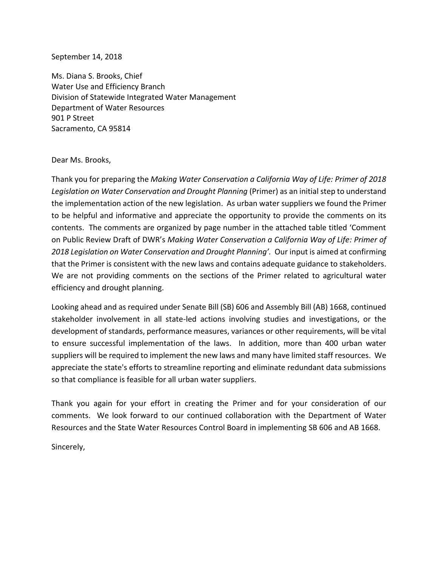## September 14, 2018

Ms. Diana S. Brooks, Chief Water Use and Efficiency Branch Division of Statewide Integrated Water Management Department of Water Resources 901 P Street Sacramento, CA 95814

## Dear Ms. Brooks,

Thank you for preparing the *Making Water Conservation a California Way of Life: Primer of 2018 Legislation on Water Conservation and Drought Planning* (Primer) as an initial step to understand the implementation action of the new legislation. As urban water suppliers we found the Primer to be helpful and informative and appreciate the opportunity to provide the comments on its contents. The comments are organized by page number in the attached table titled 'Comment on Public Review Draft of DWR's *Making Water Conservation a California Way of Life: Primer of*  2018 Legislation on Water Conservation and Drought Planning'. Our input is aimed at confirming that the Primer is consistent with the new laws and contains adequate guidance to stakeholders. We are not providing comments on the sections of the Primer related to agricultural water efficiency and drought planning.

Looking ahead and as required under Senate Bill (SB) 606 and Assembly Bill (AB) 1668, continued stakeholder involvement in all state-led actions involving studies and investigations, or the development of standards, performance measures, variances or other requirements, will be vital to ensure successful implementation of the laws. In addition, more than 400 urban water suppliers will be required to implement the new laws and many have limited staff resources. We appreciate the state's efforts to streamline reporting and eliminate redundant data submissions so that compliance is feasible for all urban water suppliers.

Thank you again for your effort in creating the Primer and for your consideration of our comments. We look forward to our continued collaboration with the Department of Water Resources and the State Water Resources Control Board in implementing SB 606 and AB 1668.

Sincerely,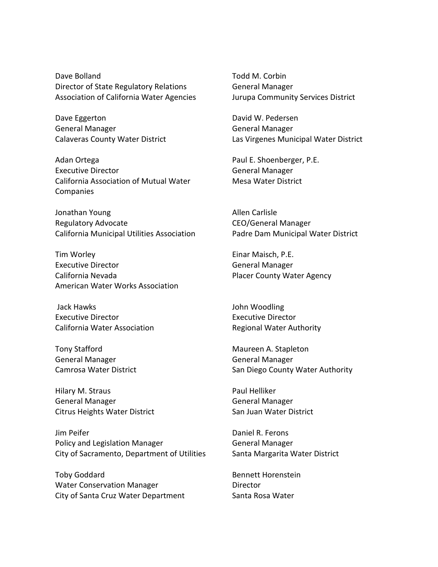Dave Bolland Director of State Regulatory Relations Association of California Water Agencies

Dave Eggerton General Manager Calaveras County Water District

Adan Ortega Executive Director California Association of Mutual Water **Companies** 

Jonathan Young Regulatory Advocate California Municipal Utilities Association

Tim Worley Executive Director California Nevada American Water Works Association

Jack Hawks Executive Director California Water Association

Tony Stafford General Manager Camrosa Water District

Hilary M. Straus General Manager Citrus Heights Water District

Jim Peifer Policy and Legislation Manager City of Sacramento, Department of Utilities

Toby Goddard Water Conservation Manager City of Santa Cruz Water Department Todd M. Corbin General Manager Jurupa Community Services District

David W. Pedersen General Manager Las Virgenes Municipal Water District

Paul E. Shoenberger, P.E. General Manager Mesa Water District

Allen Carlisle CEO/General Manager Padre Dam Municipal Water District

Einar Maisch, P.E. General Manager Placer County Water Agency

John Woodling Executive Director Regional Water Authority

Maureen A. Stapleton General Manager San Diego County Water Authority

Paul Helliker General Manager San Juan Water District

Daniel R. Ferons General Manager Santa Margarita Water District

Bennett Horenstein Director Santa Rosa Water